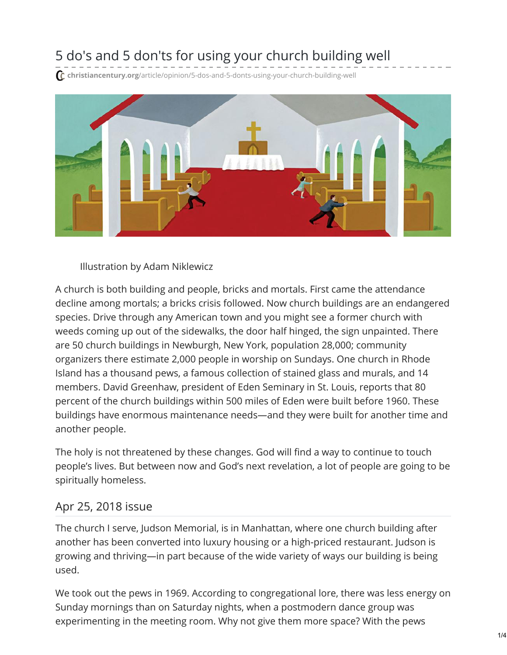## 5 do's and 5 don'ts for using your church building well

**christiancentury.org**[/article/opinion/5-dos-and-5-donts-using-your-church-building-well](https://www.christiancentury.org/article/opinion/5-dos-and-5-donts-using-your-church-building-well)



Illustration by Adam Niklewicz

A church is both building and people, bricks and mortals. First came the attendance decline among mortals; a bricks crisis followed. Now church buildings are an endangered species. Drive through any American town and you might see a former church with weeds coming up out of the sidewalks, the door half hinged, the sign unpainted. There are 50 church buildings in Newburgh, New York, population 28,000; community organizers there estimate 2,000 people in worship on Sundays. One church in Rhode Island has a thousand pews, a famous collection of stained glass and murals, and 14 members. David Greenhaw, president of Eden Seminary in St. Louis, reports that 80 percent of the church buildings within 500 miles of Eden were built before 1960. These buildings have enormous maintenance needs—and they were built for another time and another people.

The holy is not threatened by these changes. God will find a way to continue to touch people's lives. But between now and God's next revelation, a lot of people are going to be spiritually homeless.

## Apr 25, 2018 [issue](https://www.christiancentury.org/issue/apr-25-2018)

The church I serve, Judson Memorial, is in Manhattan, where one church building after another has been converted into luxury housing or a high-priced restaurant. Judson is growing and thriving—in part because of the wide variety of ways our building is being used.

We took out the pews in 1969. According to congregational lore, there was less energy on Sunday mornings than on Saturday nights, when a postmodern dance group was experimenting in the meeting room. Why not give them more space? With the pews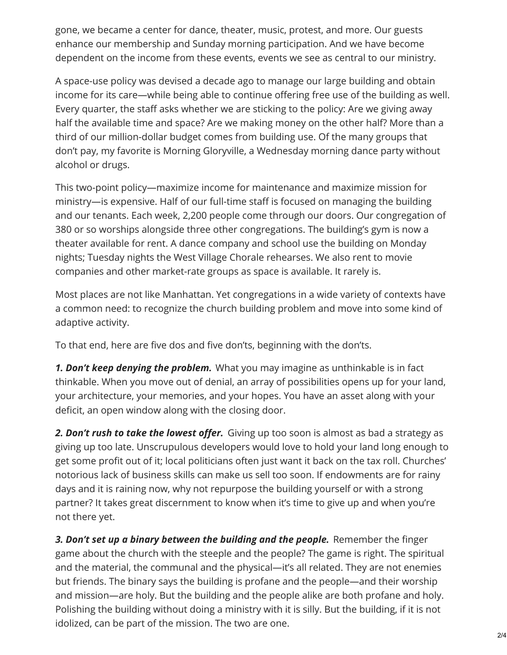gone, we became a center for dance, theater, music, protest, and more. Our guests enhance our membership and Sunday morning participation. And we have become dependent on the income from these events, events we see as central to our ministry.

A space-use policy was devised a decade ago to manage our large building and obtain income for its care—while being able to continue offering free use of the building as well. Every quarter, the staff asks whether we are sticking to the policy: Are we giving away half the available time and space? Are we making money on the other half? More than a third of our million-dollar budget comes from building use. Of the many groups that don't pay, my favorite is Morning Gloryville, a Wednesday morning dance party without alcohol or drugs.

This two-point policy—maximize income for maintenance and maximize mission for ministry—is expensive. Half of our full-time staff is focused on managing the building and our tenants. Each week, 2,200 people come through our doors. Our congregation of 380 or so worships alongside three other congregations. The building's gym is now a theater available for rent. A dance company and school use the building on Monday nights; Tuesday nights the West Village Chorale rehearses. We also rent to movie companies and other market-rate groups as space is available. It rarely is.

Most places are not like Manhattan. Yet congregations in a wide variety of contexts have a common need: to recognize the church building problem and move into some kind of adaptive activity.

To that end, here are five dos and five don'ts, beginning with the don'ts.

*1. Don't keep denying the problem.* What you may imagine as unthinkable is in fact thinkable. When you move out of denial, an array of possibilities opens up for your land, your architecture, your memories, and your hopes. You have an asset along with your deficit, an open window along with the closing door.

*2. Don't rush to take the lowest offer.* Giving up too soon is almost as bad a strategy as giving up too late. Unscrupulous developers would love to hold your land long enough to get some profit out of it; local politicians often just want it back on the tax roll. Churches' notorious lack of business skills can make us sell too soon. If endowments are for rainy days and it is raining now, why not repurpose the building yourself or with a strong partner? It takes great discernment to know when it's time to give up and when you're not there yet.

*3. Don't set up a binary between the building and the people.* Remember the finger game about the church with the steeple and the people? The game is right. The spiritual and the material, the communal and the physical—it's all related. They are not enemies but friends. The binary says the building is profane and the people—and their worship and mission—are holy. But the building and the people alike are both profane and holy. Polishing the building without doing a ministry with it is silly. But the building, if it is not idolized, can be part of the mission. The two are one.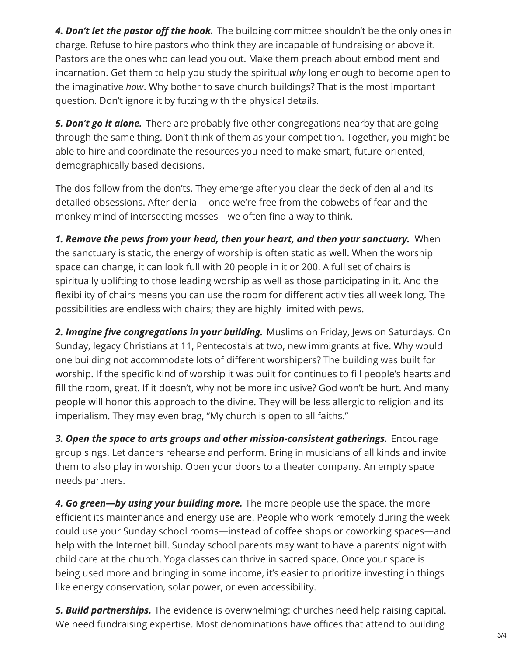*4. Don't let the pastor off the hook.* The building committee shouldn't be the only ones in charge. Refuse to hire pastors who think they are incapable of fundraising or above it. Pastors are the ones who can lead you out. Make them preach about embodiment and incarnation. Get them to help you study the spiritual *why* long enough to become open to the imaginative *how*. Why bother to save church buildings? That is the most important question. Don't ignore it by futzing with the physical details.

*5. Don't go it alone.* There are probably five other congregations nearby that are going through the same thing. Don't think of them as your competition. Together, you might be able to hire and coordinate the resources you need to make smart, future-oriented, demographically based decisions.

The dos follow from the don'ts. They emerge after you clear the deck of denial and its detailed obsessions. After denial—once we're free from the cobwebs of fear and the monkey mind of intersecting messes—we often find a way to think.

*1. Remove the pews from your head, then your heart, and then your sanctuary.* When the sanctuary is static, the energy of worship is often static as well. When the worship space can change, it can look full with 20 people in it or 200. A full set of chairs is spiritually uplifting to those leading worship as well as those participating in it. And the flexibility of chairs means you can use the room for different activities all week long. The possibilities are endless with chairs; they are highly limited with pews.

*2. Imagine five congregations in your building.* Muslims on Friday, Jews on Saturdays. On Sunday, legacy Christians at 11, Pentecostals at two, new immigrants at five. Why would one building not accommodate lots of different worshipers? The building was built for worship. If the specific kind of worship it was built for continues to fill people's hearts and fill the room, great. If it doesn't, why not be more inclusive? God won't be hurt. And many people will honor this approach to the divine. They will be less allergic to religion and its imperialism. They may even brag, "My church is open to all faiths."

*3. Open the space to arts groups and other mission-consistent gatherings.* Encourage group sings. Let dancers rehearse and perform. Bring in musicians of all kinds and invite them to also play in worship. Open your doors to a theater company. An empty space needs partners.

*4. Go green—by using your building more.* The more people use the space, the more efficient its maintenance and energy use are. People who work remotely during the week could use your Sunday school rooms—instead of coffee shops or coworking spaces—and help with the Internet bill. Sunday school parents may want to have a parents' night with child care at the church. Yoga classes can thrive in sacred space. Once your space is being used more and bringing in some income, it's easier to prioritize investing in things like energy conservation, solar power, or even accessibility.

*5. Build partnerships.* The evidence is overwhelming: churches need help raising capital. We need fundraising expertise. Most denominations have offices that attend to building